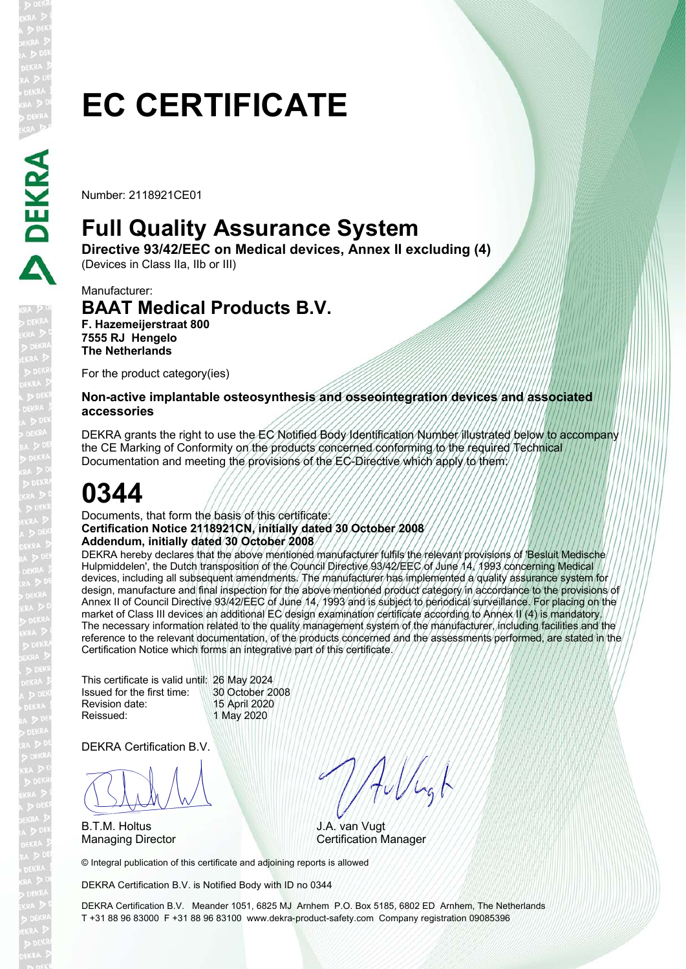# **EC CERTIFICATE**

Number: 2118921CE01

### **Full Quality Assurance System**

**Directive 93/42/EEC on Medical devices, Annex II excluding (4)** 

(Devices in Class IIa, IIb or III)

#### Manufacturer: **BAAT Medical Products B.V. F. Hazemeijerstraat 800 7555 RJ Hengelo The Netherlands**

For the product category(ies)

### **Non-active implantable osteosynthesis and osseointegration devices and associated accessories**

DEKRA grants the right to use the EC Notified Body Identification Number illustrated below to accompany the CE Marking of Conformity on the products concerned conforming to the required Technical Documentation and meeting the provisions of the EC-Directive which apply to them:

## **0344**

#### Documents, that form the basis of this certificate: **Certification Notice 2118921CN, initially dated 30 October 2008 Addendum, initially dated 30 October 2008**

DEKRA hereby declares that the above mentioned manufacturer fulfils the relevant provisions of 'Besluit Medische Hulpmiddelen', the Dutch transposition of the Council Directive 93/42/EEC of June 14, 1993 concerning Medical devices, including all subsequent amendments. The manufacturer has implemented a quality assurance system for design, manufacture and final inspection for the above mentioned product category in accordance to the provisions of Annex II of Council Directive 93/42/EEC of June 14, 1993 and is subject to periodical surveillance. For placing on the market of Class III devices an additional EC design examination certificate according to Annex II (4) is mandatory. The necessary information related to the quality management system of the manufacturer, including facilities and the reference to the relevant documentation, of the products concerned and the assessments performed, are stated in the Certification Notice which forms an integrative part of this certificate.

This certificate is valid until: 26 May 2024 Issued for the first time: 30 October 2008 Revision date: 15 April 2020 Reissued: 1 May 2020

DEKRA Certification B.V.

BLAN

B.T.M. Holtus

Allugh

J.A. van Vugt Managing Director **Certification Manager** 

© Integral publication of this certificate and adjoining reports is allowed

DEKRA Certification B.V. is Notified Body with ID no 0344

DEKRA Certification B.V. Meander 1051, 6825 MJ Arnhem P.O. Box 5185, 6802 ED Arnhem, The Netherlands T +31 88 96 83000 F +31 88 96 83100 www.dekra-product-safety.com Company registration 09085396